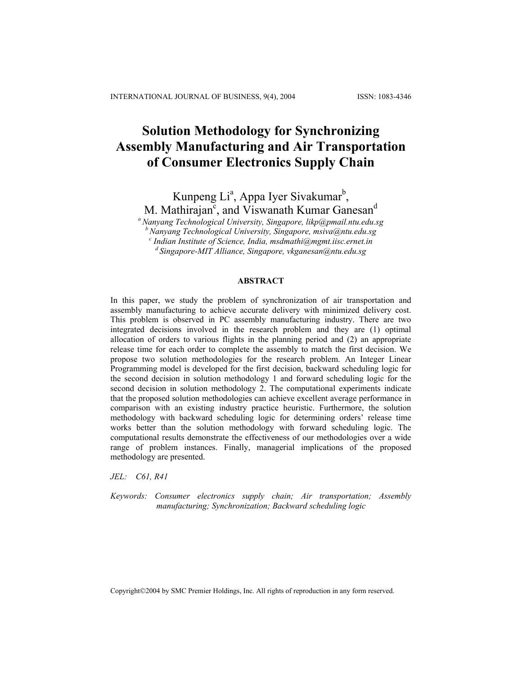# **Solution Methodology for Synchronizing Assembly Manufacturing and Air Transportation of Consumer Electronics Supply Chain**

Kunpeng Li<sup>a</sup>, Appa Iyer Sivakumar<sup>b</sup>,

M. Mathirajan<sup>c</sup>, and Viswanath Kumar Ganesan<sup>d</sup>

*a Nanyang Technological University, Singapore, likp@pmail.ntu.edu.sg* 

*b Nanyang Technological University, Singapore, [msiva@ntu.edu.sg](mailto:msiva@ntu.edu.sg) <sup>c</sup>*

<sup>d</sup> Singapore-MIT Alliance, Singapore, ykganesan@ntu.edu.sg

### **ABSTRACT**

In this paper, we study the problem of synchronization of air transportation and assembly manufacturing to achieve accurate delivery with minimized delivery cost. This problem is observed in PC assembly manufacturing industry. There are two integrated decisions involved in the research problem and they are (1) optimal allocation of orders to various flights in the planning period and (2) an appropriate release time for each order to complete the assembly to match the first decision. We propose two solution methodologies for the research problem. An Integer Linear Programming model is developed for the first decision, backward scheduling logic for the second decision in solution methodology 1 and forward scheduling logic for the second decision in solution methodology 2. The computational experiments indicate that the proposed solution methodologies can achieve excellent average performance in comparison with an existing industry practice heuristic. Furthermore, the solution methodology with backward scheduling logic for determining orders' release time works better than the solution methodology with forward scheduling logic. The computational results demonstrate the effectiveness of our methodologies over a wide range of problem instances. Finally, managerial implications of the proposed methodology are presented.

*JEL: C61, R41* 

*Keywords: Consumer electronics supply chain; Air transportation; Assembly manufacturing; Synchronization; Backward scheduling logic* 

Copyright©2004 by SMC Premier Holdings, Inc. All rights of reproduction in any form reserved.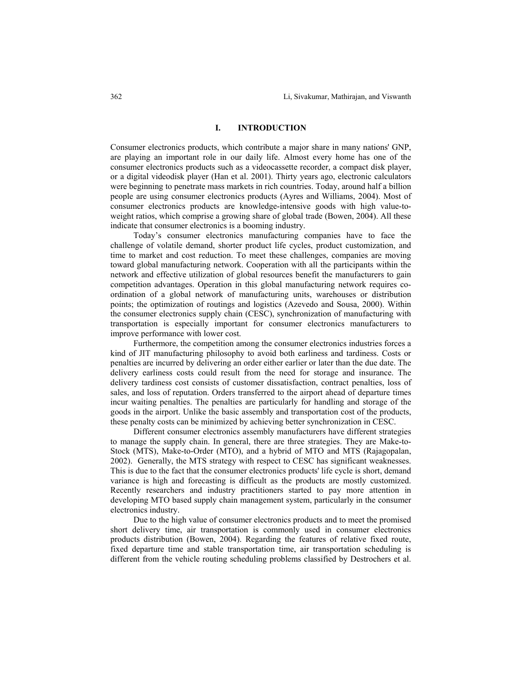### **I. INTRODUCTION**

Consumer electronics products, which contribute a major share in many nations' GNP, are playing an important role in our daily life. Almost every home has one of the consumer electronics products such as a videocassette recorder, a compact disk player, or a digital videodisk player (Han et al. 2001). Thirty years ago, electronic calculators were beginning to penetrate mass markets in rich countries. Today, around half a billion people are using consumer electronics products (Ayres and Williams, 2004). Most of consumer electronics products are knowledge-intensive goods with high value-toweight ratios, which comprise a growing share of global trade (Bowen, 2004). All these indicate that consumer electronics is a booming industry.

Today's consumer electronics manufacturing companies have to face the challenge of volatile demand, shorter product life cycles, product customization, and time to market and cost reduction. To meet these challenges, companies are moving toward global manufacturing network. Cooperation with all the participants within the network and effective utilization of global resources benefit the manufacturers to gain competition advantages. Operation in this global manufacturing network requires coordination of a global network of manufacturing units, warehouses or distribution points; the optimization of routings and logistics (Azevedo and Sousa, 2000). Within the consumer electronics supply chain (CESC), synchronization of manufacturing with transportation is especially important for consumer electronics manufacturers to improve performance with lower cost.

Furthermore, the competition among the consumer electronics industries forces a kind of JIT manufacturing philosophy to avoid both earliness and tardiness. Costs or penalties are incurred by delivering an order either earlier or later than the due date. The delivery earliness costs could result from the need for storage and insurance. The delivery tardiness cost consists of customer dissatisfaction, contract penalties, loss of sales, and loss of reputation. Orders transferred to the airport ahead of departure times incur waiting penalties. The penalties are particularly for handling and storage of the goods in the airport. Unlike the basic assembly and transportation cost of the products, these penalty costs can be minimized by achieving better synchronization in CESC.

Different consumer electronics assembly manufacturers have different strategies to manage the supply chain. In general, there are three strategies. They are Make-to-Stock (MTS), Make-to-Order (MTO), and a hybrid of MTO and MTS (Rajagopalan, 2002). Generally, the MTS strategy with respect to CESC has significant weaknesses. This is due to the fact that the consumer electronics products' life cycle is short, demand variance is high and forecasting is difficult as the products are mostly customized. Recently researchers and industry practitioners started to pay more attention in developing MTO based supply chain management system, particularly in the consumer electronics industry.

Due to the high value of consumer electronics products and to meet the promised short delivery time, air transportation is commonly used in consumer electronics products distribution (Bowen, 2004). Regarding the features of relative fixed route, fixed departure time and stable transportation time, air transportation scheduling is different from the vehicle routing scheduling problems classified by Destrochers et al.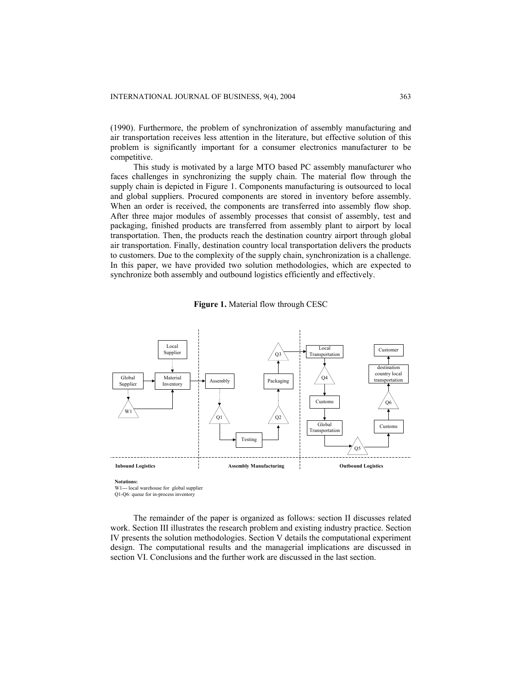(1990). Furthermore, the problem of synchronization of assembly manufacturing and air transportation receives less attention in the literature, but effective solution of this problem is significantly important for a consumer electronics manufacturer to be competitive.

This study is motivated by a large MTO based PC assembly manufacturer who faces challenges in synchronizing the supply chain. The material flow through the supply chain is depicted in Figure 1. Components manufacturing is outsourced to local and global suppliers. Procured components are stored in inventory before assembly. When an order is received, the components are transferred into assembly flow shop. After three major modules of assembly processes that consist of assembly, test and packaging, finished products are transferred from assembly plant to airport by local transportation. Then, the products reach the destination country airport through global air transportation. Finally, destination country local transportation delivers the products to customers. Due to the complexity of the supply chain, synchronization is a challenge. In this paper, we have provided two solution methodologies, which are expected to synchronize both assembly and outbound logistics efficiently and effectively.





**Notations:**

W1--- local warehouse for global supplier

Q1-Q6: queue for in-process inventory

The remainder of the paper is organized as follows: section II discusses related work. Section III illustrates the research problem and existing industry practice. Section IV presents the solution methodologies. Section V details the computational experiment design. The computational results and the managerial implications are discussed in section VI. Conclusions and the further work are discussed in the last section.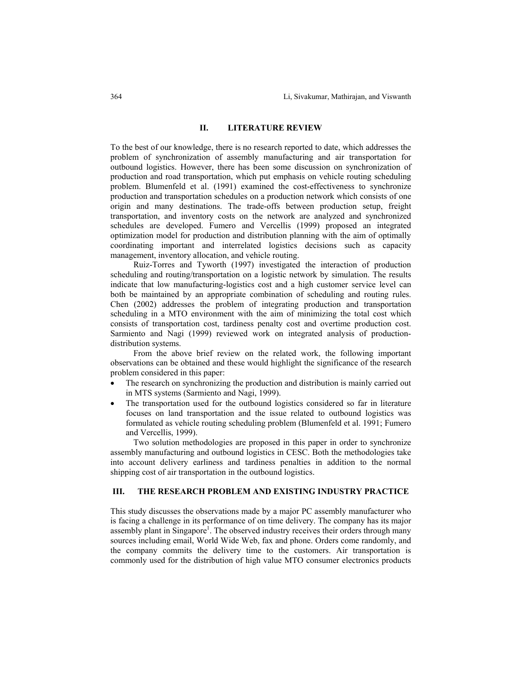### **II. LITERATURE REVIEW**

To the best of our knowledge, there is no research reported to date, which addresses the problem of synchronization of assembly manufacturing and air transportation for outbound logistics. However, there has been some discussion on synchronization of production and road transportation, which put emphasis on vehicle routing scheduling problem. Blumenfeld et al. (1991) examined the cost-effectiveness to synchronize production and transportation schedules on a production network which consists of one origin and many destinations. The trade-offs between production setup, freight transportation, and inventory costs on the network are analyzed and synchronized schedules are developed. Fumero and Vercellis (1999) proposed an integrated optimization model for production and distribution planning with the aim of optimally coordinating important and interrelated logistics decisions such as capacity management, inventory allocation, and vehicle routing.

Ruiz-Torres and Tyworth (1997) investigated the interaction of production scheduling and routing/transportation on a logistic network by simulation. The results indicate that low manufacturing-logistics cost and a high customer service level can both be maintained by an appropriate combination of scheduling and routing rules. Chen (2002) addresses the problem of integrating production and transportation scheduling in a MTO environment with the aim of minimizing the total cost which consists of transportation cost, tardiness penalty cost and overtime production cost. Sarmiento and Nagi (1999) reviewed work on integrated analysis of productiondistribution systems.

From the above brief review on the related work, the following important observations can be obtained and these would highlight the significance of the research problem considered in this paper:

- The research on synchronizing the production and distribution is mainly carried out in MTS systems (Sarmiento and Nagi, 1999).
- The transportation used for the outbound logistics considered so far in literature focuses on land transportation and the issue related to outbound logistics was formulated as vehicle routing scheduling problem (Blumenfeld et al. 1991; Fumero and Vercellis, 1999).

Two solution methodologies are proposed in this paper in order to synchronize assembly manufacturing and outbound logistics in CESC. Both the methodologies take into account delivery earliness and tardiness penalties in addition to the normal shipping cost of air transportation in the outbound logistics.

## **III. THE RESEARCH PROBLEM AND EXISTING INDUSTRY PRACTICE**

This study discusses the observations made by a major PC assembly manufacturer who is facing a challenge in its performance of on time delivery. The company has its major assembly plant in Singapore<sup>1</sup>. The observed industry receives their orders through many sources including email, World Wide Web, fax and phone. Orders come randomly, and the company commits the delivery time to the customers. Air transportation is commonly used for the distribution of high value MTO consumer electronics products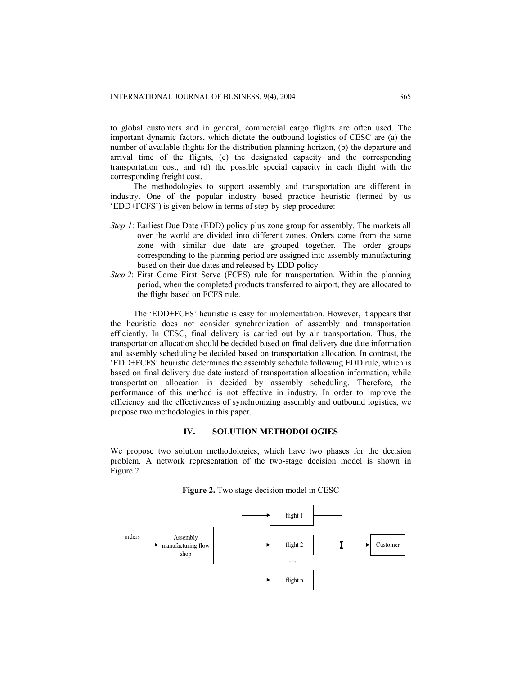to global customers and in general, commercial cargo flights are often used. The important dynamic factors, which dictate the outbound logistics of CESC are (a) the number of available flights for the distribution planning horizon, (b) the departure and arrival time of the flights, (c) the designated capacity and the corresponding transportation cost, and (d) the possible special capacity in each flight with the corresponding freight cost.

The methodologies to support assembly and transportation are different in industry. One of the popular industry based practice heuristic (termed by us 'EDD+FCFS') is given below in terms of step-by-step procedure:

- *Step 1*: Earliest Due Date (EDD) policy plus zone group for assembly. The markets all over the world are divided into different zones. Orders come from the same zone with similar due date are grouped together. The order groups corresponding to the planning period are assigned into assembly manufacturing based on their due dates and released by EDD policy.
- *Step 2*: First Come First Serve (FCFS) rule for transportation. Within the planning period, when the completed products transferred to airport, they are allocated to the flight based on FCFS rule.

The 'EDD+FCFS' heuristic is easy for implementation. However, it appears that the heuristic does not consider synchronization of assembly and transportation efficiently. In CESC, final delivery is carried out by air transportation. Thus, the transportation allocation should be decided based on final delivery due date information and assembly scheduling be decided based on transportation allocation. In contrast, the 'EDD+FCFS' heuristic determines the assembly schedule following EDD rule, which is based on final delivery due date instead of transportation allocation information, while transportation allocation is decided by assembly scheduling. Therefore, the performance of this method is not effective in industry. In order to improve the efficiency and the effectiveness of synchronizing assembly and outbound logistics, we propose two methodologies in this paper.

## **IV. SOLUTION METHODOLOGIES**

We propose two solution methodologies, which have two phases for the decision problem. A network representation of the two-stage decision model is shown in Figure 2.



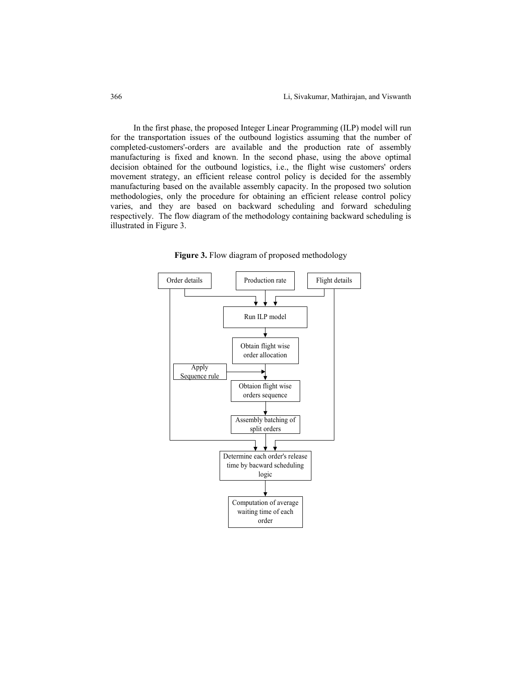In the first phase, the proposed Integer Linear Programming (ILP) model will run for the transportation issues of the outbound logistics assuming that the number of completed-customers'-orders are available and the production rate of assembly manufacturing is fixed and known. In the second phase, using the above optimal decision obtained for the outbound logistics, i.e., the flight wise customers' orders movement strategy, an efficient release control policy is decided for the assembly manufacturing based on the available assembly capacity. In the proposed two solution methodologies, only the procedure for obtaining an efficient release control policy varies, and they are based on backward scheduling and forward scheduling respectively. The flow diagram of the methodology containing backward scheduling is illustrated in Figure 3.

**Figure 3.** Flow diagram of proposed methodology

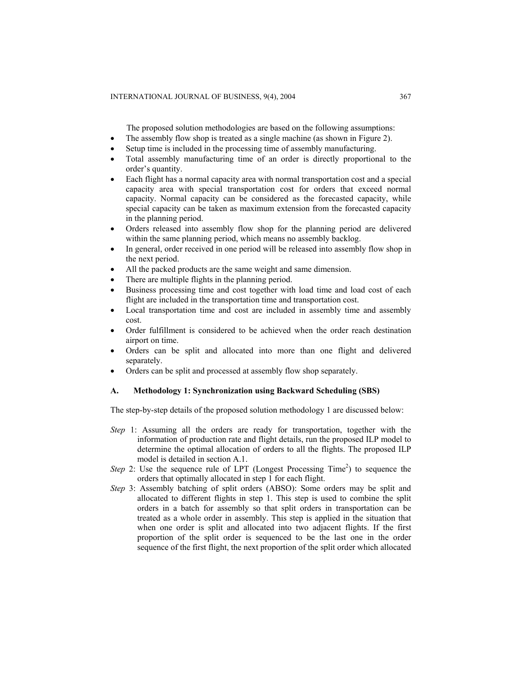The proposed solution methodologies are based on the following assumptions:

- The assembly flow shop is treated as a single machine (as shown in Figure 2).
- Setup time is included in the processing time of assembly manufacturing.
- Total assembly manufacturing time of an order is directly proportional to the order's quantity.
- Each flight has a normal capacity area with normal transportation cost and a special capacity area with special transportation cost for orders that exceed normal capacity. Normal capacity can be considered as the forecasted capacity, while special capacity can be taken as maximum extension from the forecasted capacity in the planning period.
- Orders released into assembly flow shop for the planning period are delivered within the same planning period, which means no assembly backlog.
- In general, order received in one period will be released into assembly flow shop in the next period.
- All the packed products are the same weight and same dimension.
- There are multiple flights in the planning period.
- Business processing time and cost together with load time and load cost of each flight are included in the transportation time and transportation cost.
- Local transportation time and cost are included in assembly time and assembly cost.
- Order fulfillment is considered to be achieved when the order reach destination airport on time.
- Orders can be split and allocated into more than one flight and delivered separately.
- Orders can be split and processed at assembly flow shop separately.

## **A. Methodology 1: Synchronization using Backward Scheduling (SBS)**

The step-by-step details of the proposed solution methodology 1 are discussed below:

- *Step* 1: Assuming all the orders are ready for transportation, together with the information of production rate and flight details, run the proposed ILP model to determine the optimal allocation of orders to all the flights. The proposed ILP model is detailed in section A.1.
- *Step* 2: Use the sequence rule of LPT (Longest Processing Time<sup>2</sup>) to sequence the orders that optimally allocated in step 1 for each flight.
- *Step* 3: Assembly batching of split orders (ABSO): Some orders may be split and allocated to different flights in step 1. This step is used to combine the split orders in a batch for assembly so that split orders in transportation can be treated as a whole order in assembly. This step is applied in the situation that when one order is split and allocated into two adjacent flights. If the first proportion of the split order is sequenced to be the last one in the order sequence of the first flight, the next proportion of the split order which allocated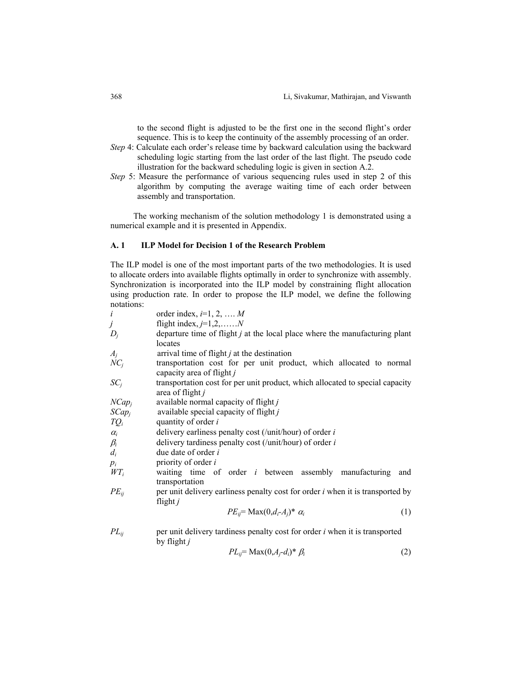to the second flight is adjusted to be the first one in the second flight's order sequence. This is to keep the continuity of the assembly processing of an order.

- *Step* 4: Calculate each order's release time by backward calculation using the backward scheduling logic starting from the last order of the last flight. The pseudo code illustration for the backward scheduling logic is given in section A.2.
- *Step* 5: Measure the performance of various sequencing rules used in step 2 of this algorithm by computing the average waiting time of each order between assembly and transportation.

The working mechanism of the solution methodology 1 is demonstrated using a numerical example and it is presented in Appendix.

#### **A. 1 ILP Model for Decision 1 of the Research Problem**

The ILP model is one of the most important parts of the two methodologies. It is used to allocate orders into available flights optimally in order to synchronize with assembly. Synchronization is incorporated into the ILP model by constraining flight allocation using production rate. In order to propose the ILP model, we define the following notations:

| $\dot{i}$  | order index, $i=1, 2, \ldots, M$                                                                    |
|------------|-----------------------------------------------------------------------------------------------------|
| j          | flight index, $j=1,2,\ldots,N$                                                                      |
| $D_i$      | departure time of flight <i>j</i> at the local place where the manufacturing plant                  |
|            | locates                                                                                             |
| $A_j$      | arrival time of flight $j$ at the destination                                                       |
| $NC_i$     | transportation cost for per unit product, which allocated to normal<br>capacity area of flight j    |
| $SC_i$     | transportation cost for per unit product, which allocated to special capacity<br>area of flight $j$ |
| $NCap_i$   | available normal capacity of flight $j$                                                             |
| $SCap_i$   | available special capacity of flight $j$                                                            |
| $TQ_i$     | quantity of order i                                                                                 |
| $\alpha_i$ | delivery earliness penalty cost (/unit/hour) of order $i$                                           |
| $\beta_i$  | delivery tardiness penalty cost (/unit/hour) of order $i$                                           |
| $d_i$      | due date of order $i$                                                                               |
| $p_i$      | priority of order $i$                                                                               |
| $WT_i$     | waiting time of order $i$ between assembly manufacturing<br>and<br>transportation                   |
| $PE_{ii}$  | per unit delivery earliness penalty cost for order <i>i</i> when it is transported by<br>flight $j$ |
|            |                                                                                                     |
|            | $PE_{ii}$ = Max $(0,d_i-A_i)^* \alpha_i$<br>(1)                                                     |
| $PL_{ii}$  | per unit delivery tardiness penalty cost for order <i>i</i> when it is transported<br>by flight j   |

$$
PL_{ij} = \text{Max}(0, A_j - d_i)^* \beta_i \tag{2}
$$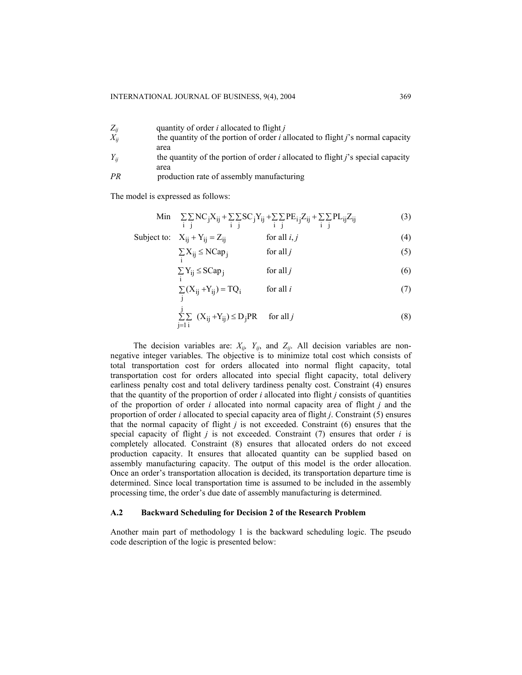| $Z_{ij}$<br>$X_{ii}$ | quantity of order <i>i</i> allocated to flight <i>j</i><br>the quantity of the portion of order <i>i</i> allocated to flight <i>j</i> 's normal capacity |
|----------------------|----------------------------------------------------------------------------------------------------------------------------------------------------------|
| $Y_{ii}$             | area<br>the quantity of the portion of order <i>i</i> allocated to flight <i>j</i> 's special capacity                                                   |
| PR                   | area<br>production rate of assembly manufacturing                                                                                                        |

The model is expressed as follows:

$$
\begin{array}{lll}\n\text{Min} & \sum_{i} \sum_{j} \text{NC}_{j} X_{ij} + \sum_{i} \sum_{j} \text{SC}_{j} Y_{ij} + \sum_{i} \sum_{j} \text{PE}_{i} Z_{ij} + \sum_{i} \sum_{j} \text{PL}_{ij} Z_{ij}\n\end{array}\n\tag{3}
$$

Subject to: 
$$
X_{ij} + Y_{ij} = Z_{ij}
$$
 for all  $i, j$  (4)

$$
\sum_{i} X_{ij} \le NCap_j \qquad \text{for all } j \tag{5}
$$

$$
\sum_{i} Y_{ij} \le SCap_j \qquad \text{for all } j \tag{6}
$$

$$
\sum_{j} (X_{ij} + Y_{ij}) = TQ_i \qquad \text{for all } i \tag{7}
$$

$$
\sum_{j=1}^{j} \sum_{i} (X_{ij} + Y_{ij}) \le D_j PR \quad \text{for all } j
$$
 (8)

The decision variables are:  $X_{ij}$ ,  $Y_{ij}$ , and  $Z_{ij}$ . All decision variables are nonnegative integer variables. The objective is to minimize total cost which consists of total transportation cost for orders allocated into normal flight capacity, total transportation cost for orders allocated into special flight capacity, total delivery earliness penalty cost and total delivery tardiness penalty cost. Constraint (4) ensures that the quantity of the proportion of order *i* allocated into flight *j* consists of quantities of the proportion of order *i* allocated into normal capacity area of flight *j* and the proportion of order *i* allocated to special capacity area of flight *j*. Constraint (5) ensures that the normal capacity of flight  $j$  is not exceeded. Constraint  $(6)$  ensures that the special capacity of flight  $j$  is not exceeded. Constraint  $(7)$  ensures that order  $i$  is completely allocated. Constraint (8) ensures that allocated orders do not exceed production capacity. It ensures that allocated quantity can be supplied based on assembly manufacturing capacity. The output of this model is the order allocation. Once an order's transportation allocation is decided, its transportation departure time is determined. Since local transportation time is assumed to be included in the assembly processing time, the order's due date of assembly manufacturing is determined.

#### **A.2 Backward Scheduling for Decision 2 of the Research Problem**

Another main part of methodology 1 is the backward scheduling logic. The pseudo code description of the logic is presented below: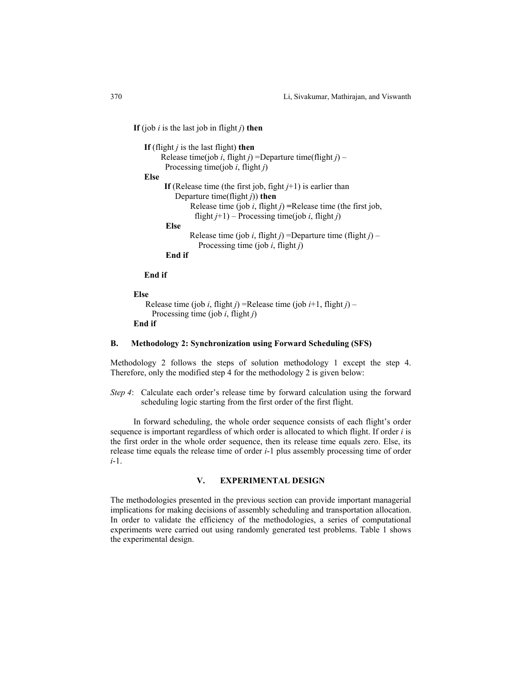**If** (job *i* is the last job in flight *j*) **then**

```
 If (flight j is the last flight) then
     Release time(job i, flight j) =Departure time(flight j) –
        Processing time(job i, flight j) 
 Else 
       If (Release time (the first job, fight j+1) is earlier than 
           Departure time(flight j)) then 
               Release time (job i, flight j) =Release time (the first job, 
                flight j+1) – Processing time(job i, flight j)
        Else 
              Release time (job i, flight j) =Departure time (flight j) –
                  Processing time (job i, flight j) 
        End if
```
**End if** 

**Else** 

```
Release time (job i, flight j) =Release time (job i+1, flight j) –
  Processing time (job i, flight j)
```
**End if** 

#### **B. Methodology 2: Synchronization using Forward Scheduling (SFS)**

Methodology 2 follows the steps of solution methodology 1 except the step 4. Therefore, only the modified step 4 for the methodology 2 is given below:

*Step 4*: Calculate each order's release time by forward calculation using the forward scheduling logic starting from the first order of the first flight.

In forward scheduling, the whole order sequence consists of each flight's order sequence is important regardless of which order is allocated to which flight. If order *i* is the first order in the whole order sequence, then its release time equals zero. Else, its release time equals the release time of order *i*-1 plus assembly processing time of order *i*-1.

#### **V. EXPERIMENTAL DESIGN**

The methodologies presented in the previous section can provide important managerial implications for making decisions of assembly scheduling and transportation allocation. In order to validate the efficiency of the methodologies, a series of computational experiments were carried out using randomly generated test problems. Table 1 shows the experimental design.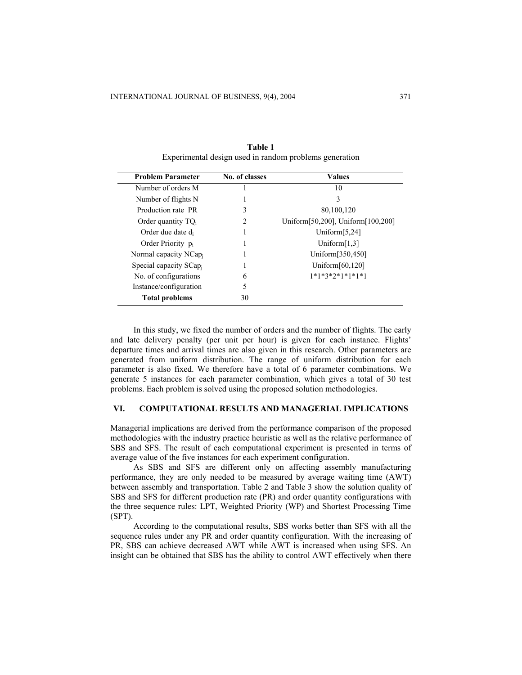| <b>Problem Parameter</b>          | No. of classes | <b>Values</b>                     |
|-----------------------------------|----------------|-----------------------------------|
| Number of orders M                |                | 10                                |
| Number of flights N               |                | 3                                 |
| Production rate PR                | 3              | 80,100,120                        |
| Order quantity $TQ_i$             | 2              | Uniform[50,200], Uniform[100,200] |
| Order due date d <sub>i</sub>     |                | Uniform $[5,24]$                  |
| Order Priority $p_i$              |                | Uniform $[1,3]$                   |
| Normal capacity NCap <sub>i</sub> |                | Uniform[350,450]                  |
| Special capacity $SCap_i$         |                | Uniform $[60, 120]$               |
| No. of configurations             | 6              | $1*1*3*2*1*1*1*1$                 |
| Instance/configuration            |                |                                   |
| <b>Total problems</b>             | 30             |                                   |

**Table 1**  Experimental design used in random problems generation

In this study, we fixed the number of orders and the number of flights. The early and late delivery penalty (per unit per hour) is given for each instance. Flights' departure times and arrival times are also given in this research. Other parameters are generated from uniform distribution. The range of uniform distribution for each parameter is also fixed. We therefore have a total of 6 parameter combinations. We generate 5 instances for each parameter combination, which gives a total of 30 test problems. Each problem is solved using the proposed solution methodologies.

## **VI. COMPUTATIONAL RESULTS AND MANAGERIAL IMPLICATIONS**

Managerial implications are derived from the performance comparison of the proposed methodologies with the industry practice heuristic as well as the relative performance of SBS and SFS. The result of each computational experiment is presented in terms of average value of the five instances for each experiment configuration.

As SBS and SFS are different only on affecting assembly manufacturing performance, they are only needed to be measured by average waiting time (AWT) between assembly and transportation. Table 2 and Table 3 show the solution quality of SBS and SFS for different production rate (PR) and order quantity configurations with the three sequence rules: LPT, Weighted Priority (WP) and Shortest Processing Time (SPT).

According to the computational results, SBS works better than SFS with all the sequence rules under any PR and order quantity configuration. With the increasing of PR, SBS can achieve decreased AWT while AWT is increased when using SFS. An insight can be obtained that SBS has the ability to control AWT effectively when there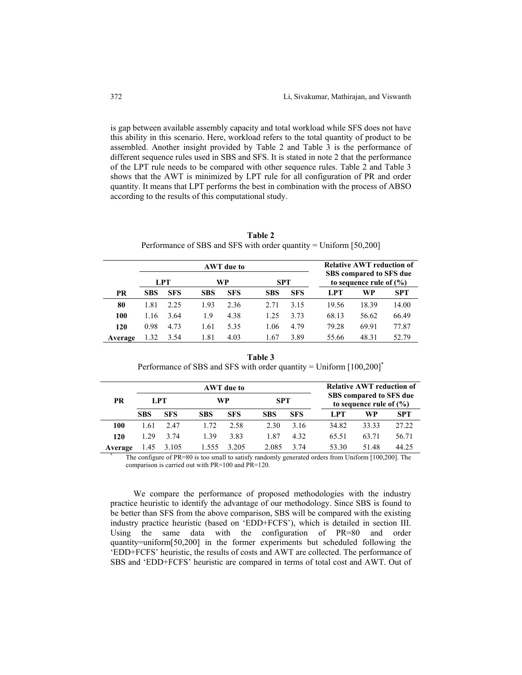is gap between available assembly capacity and total workload while SFS does not have this ability in this scenario. Here, workload refers to the total quantity of product to be assembled. Another insight provided by Table 2 and Table 3 is the performance of different sequence rules used in SBS and SFS. It is stated in note 2 that the performance of the LPT rule needs to be compared with other sequence rules. Table 2 and Table 3 shows that the AWT is minimized by LPT rule for all configuration of PR and order quantity. It means that LPT performs the best in combination with the process of ABSO according to the results of this computational study.

| Table 2                                                             |
|---------------------------------------------------------------------|
| Performance of SBS and SFS with order quantity = Uniform $[50,200]$ |

|           | AWT due to |            |            |            |            |            |       | <b>Relative AWT reduction of</b>                       |            |
|-----------|------------|------------|------------|------------|------------|------------|-------|--------------------------------------------------------|------------|
|           |            | LPT        |            | WP         | <b>SPT</b> |            |       | SBS compared to SFS due<br>to sequence rule of $(\% )$ |            |
| <b>PR</b> | <b>SBS</b> | <b>SFS</b> | <b>SBS</b> | <b>SFS</b> | <b>SBS</b> | <b>SFS</b> | LPT   | WP                                                     | <b>SPT</b> |
| 80        | 1.81       | 2.25       | 1.93       | 2.36       | 2.71       | 3.15       | 19.56 | 18.39                                                  | 14.00      |
| 100       | 1.16       | 3.64       | 1.9        | 4.38       | 1.25       | 3.73       | 68.13 | 56.62                                                  | 66.49      |
| 120       | 0.98       | 4.73       | 1.61       | 5.35       | 1.06       | 4.79       | 79.28 | 69.91                                                  | 77.87      |
| Average   | 1.32       | 3.54       | 1.81       | 4.03       | 1.67       | 3.89       | 55.66 | 48.31                                                  | 52.79      |

**Table 3**  Performance of SBS and SFS with order quantity = Uniform [100,200]<sup>\*</sup>

|         |            |            |            | AWT due to |            |            |                                                                                                        | <b>Relative AWT reduction of</b>                       |            |
|---------|------------|------------|------------|------------|------------|------------|--------------------------------------------------------------------------------------------------------|--------------------------------------------------------|------------|
| PR      |            | LPT.       | WP         |            | <b>SPT</b> |            |                                                                                                        | SBS compared to SFS due<br>to sequence rule of $(\% )$ |            |
|         | <b>SBS</b> | <b>SFS</b> | <b>SBS</b> | <b>SFS</b> | <b>SBS</b> | <b>SFS</b> | LPT                                                                                                    | WP                                                     | <b>SPT</b> |
| 100     | 1.61       | 2.47       | 1.72       | 2.58       | 2.30       | 3 1 6      | 34.82                                                                                                  | 33.33                                                  | 27.22      |
| 120     | 1 29       | 3 74       | 1.39       | 3.83       | 187        | 4.32       | 65.51                                                                                                  | 63.71                                                  | 56.71      |
| Average | 1.45       | 3.105      | 1.555      | 3.205      | 2.085      | 3.74       | 53.30                                                                                                  | 5148                                                   | 44.25      |
|         |            |            |            |            |            |            | The configure of $PR=80$ is too small to satisfy randomly generated orders from Uniform [100,200]. The |                                                        |            |

comparison is carried out with PR=100 and PR=120.

We compare the performance of proposed methodologies with the industry practice heuristic to identify the advantage of our methodology. Since SBS is found to be better than SFS from the above comparison, SBS will be compared with the existing industry practice heuristic (based on 'EDD+FCFS'), which is detailed in section III. Using the same data with the configuration of PR=80 and order quantity=uniform[50,200] in the former experiments but scheduled following the 'EDD+FCFS' heuristic, the results of costs and AWT are collected. The performance of SBS and 'EDD+FCFS' heuristic are compared in terms of total cost and AWT. Out of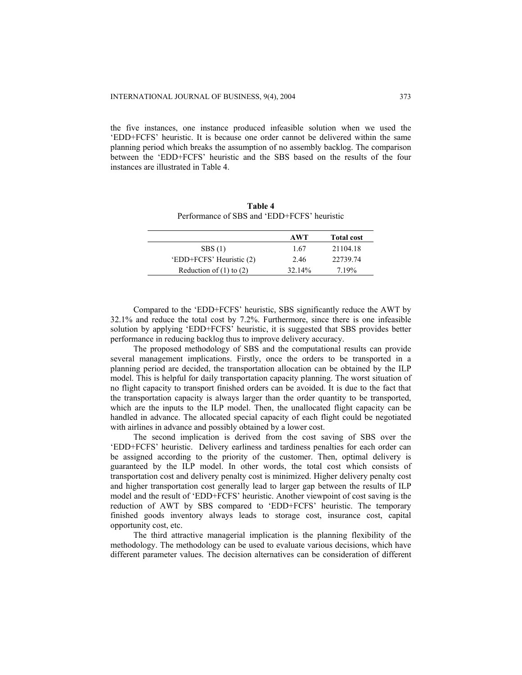the five instances, one instance produced infeasible solution when we used the 'EDD+FCFS' heuristic. It is because one order cannot be delivered within the same planning period which breaks the assumption of no assembly backlog. The comparison between the 'EDD+FCFS' heuristic and the SBS based on the results of the four instances are illustrated in Table 4.

**Table 4** Performance of SBS and 'EDD+FCFS' heuristic

|                             | AWT                | <b>Total cost</b> |
|-----------------------------|--------------------|-------------------|
| SBS(1)                      | 1.67               | 21104.18          |
| 'EDD+FCFS' Heuristic (2)    | 2.46               | 22739.74          |
| Reduction of $(1)$ to $(2)$ | 32.14 <sup>%</sup> | 7 19%             |

Compared to the 'EDD+FCFS' heuristic, SBS significantly reduce the AWT by 32.1% and reduce the total cost by 7.2%. Furthermore, since there is one infeasible solution by applying 'EDD+FCFS' heuristic, it is suggested that SBS provides better performance in reducing backlog thus to improve delivery accuracy.

The proposed methodology of SBS and the computational results can provide several management implications. Firstly, once the orders to be transported in a planning period are decided, the transportation allocation can be obtained by the ILP model. This is helpful for daily transportation capacity planning. The worst situation of no flight capacity to transport finished orders can be avoided. It is due to the fact that the transportation capacity is always larger than the order quantity to be transported, which are the inputs to the ILP model. Then, the unallocated flight capacity can be handled in advance. The allocated special capacity of each flight could be negotiated with airlines in advance and possibly obtained by a lower cost.

The second implication is derived from the cost saving of SBS over the 'EDD+FCFS' heuristic. Delivery earliness and tardiness penalties for each order can be assigned according to the priority of the customer. Then, optimal delivery is guaranteed by the ILP model. In other words, the total cost which consists of transportation cost and delivery penalty cost is minimized. Higher delivery penalty cost and higher transportation cost generally lead to larger gap between the results of ILP model and the result of 'EDD+FCFS' heuristic. Another viewpoint of cost saving is the reduction of AWT by SBS compared to 'EDD+FCFS' heuristic. The temporary finished goods inventory always leads to storage cost, insurance cost, capital opportunity cost, etc.

The third attractive managerial implication is the planning flexibility of the methodology. The methodology can be used to evaluate various decisions, which have different parameter values. The decision alternatives can be consideration of different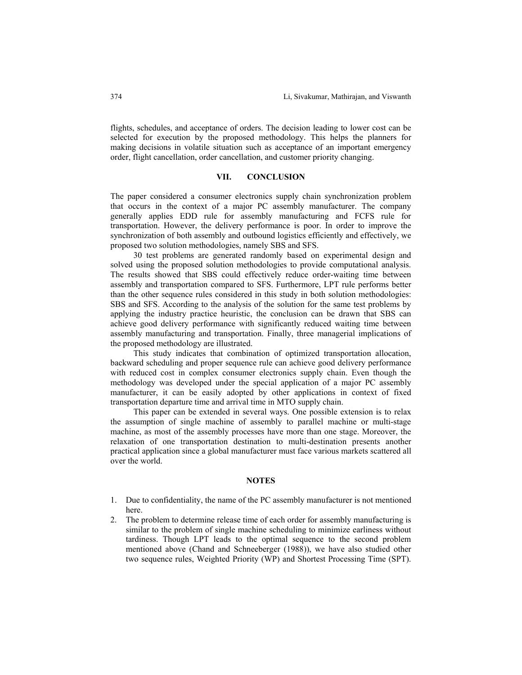flights, schedules, and acceptance of orders. The decision leading to lower cost can be selected for execution by the proposed methodology. This helps the planners for making decisions in volatile situation such as acceptance of an important emergency order, flight cancellation, order cancellation, and customer priority changing.

#### **VII. CONCLUSION**

The paper considered a consumer electronics supply chain synchronization problem that occurs in the context of a major PC assembly manufacturer. The company generally applies EDD rule for assembly manufacturing and FCFS rule for transportation. However, the delivery performance is poor. In order to improve the synchronization of both assembly and outbound logistics efficiently and effectively, we proposed two solution methodologies, namely SBS and SFS.

30 test problems are generated randomly based on experimental design and solved using the proposed solution methodologies to provide computational analysis. The results showed that SBS could effectively reduce order-waiting time between assembly and transportation compared to SFS. Furthermore, LPT rule performs better than the other sequence rules considered in this study in both solution methodologies: SBS and SFS. According to the analysis of the solution for the same test problems by applying the industry practice heuristic, the conclusion can be drawn that SBS can achieve good delivery performance with significantly reduced waiting time between assembly manufacturing and transportation. Finally, three managerial implications of the proposed methodology are illustrated.

This study indicates that combination of optimized transportation allocation, backward scheduling and proper sequence rule can achieve good delivery performance with reduced cost in complex consumer electronics supply chain. Even though the methodology was developed under the special application of a major PC assembly manufacturer, it can be easily adopted by other applications in context of fixed transportation departure time and arrival time in MTO supply chain.

This paper can be extended in several ways. One possible extension is to relax the assumption of single machine of assembly to parallel machine or multi-stage machine, as most of the assembly processes have more than one stage. Moreover, the relaxation of one transportation destination to multi-destination presents another practical application since a global manufacturer must face various markets scattered all over the world.

#### **NOTES**

- 1. Due to confidentiality, the name of the PC assembly manufacturer is not mentioned here.
- 2. The problem to determine release time of each order for assembly manufacturing is similar to the problem of single machine scheduling to minimize earliness without tardiness. Though LPT leads to the optimal sequence to the second problem mentioned above (Chand and Schneeberger (1988)), we have also studied other two sequence rules, Weighted Priority (WP) and Shortest Processing Time (SPT).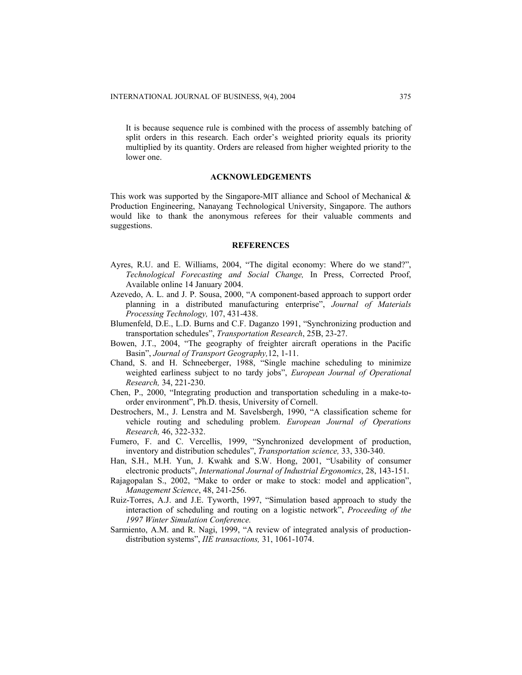It is because sequence rule is combined with the process of assembly batching of split orders in this research. Each order's weighted priority equals its priority multiplied by its quantity. Orders are released from higher weighted priority to the lower one.

#### **ACKNOWLEDGEMENTS**

This work was supported by the Singapore-MIT alliance and School of Mechanical & Production Engineering, Nanayang Technological University, Singapore. The authors would like to thank the anonymous referees for their valuable comments and suggestions.

#### **REFERENCES**

- Ayres, R.U. and E. Williams, 2004, "The digital economy: Where do we stand?", *Technological Forecasting and Social Change,* In Press, Corrected Proof, Available online 14 January 2004.
- Azevedo, A. L. and J. P. Sousa, 2000, "A component-based approach to support order planning in a distributed manufacturing enterprise", *Journal of Materials Processing Technology,* 107, 431-438.
- Blumenfeld, D.E., L.D. Burns and C.F. Daganzo 1991, "Synchronizing production and transportation schedules", *Transportation Research*, 25B, 23-27.
- Bowen, J.T., 2004, "The geography of freighter aircraft operations in the Pacific Basin", *Journal of Transport Geography,*12, 1-11.
- Chand, S. and H. Schneeberger, 1988, "Single machine scheduling to minimize weighted earliness subject to no tardy jobs", *European Journal of Operational Research,* 34, 221-230.
- Chen, P., 2000, "Integrating production and transportation scheduling in a make-toorder environment", Ph.D. thesis, University of Cornell.
- Destrochers, M., J. Lenstra and M. Savelsbergh, 1990, "A classification scheme for vehicle routing and scheduling problem. *European Journal of Operations Research,* 46, 322-332.
- Fumero, F. and C. Vercellis, 1999, "Synchronized development of production, inventory and distribution schedules", *Transportation science,* 33, 330-340.
- Han, S.H., M.H. Yun, J. Kwahk and S.W. Hong, 2001, "Usability of consumer electronic products", *International Journal of Industrial Ergonomics*, 28, 143-151.
- Rajagopalan S., 2002, "Make to order or make to stock: model and application", *Management Science*, 48, 241-256.
- Ruiz-Torres, A.J. and J.E. Tyworth, 1997, "Simulation based approach to study the interaction of scheduling and routing on a logistic network", *Proceeding of the 1997 Winter Simulation Conference.*
- Sarmiento, A.M. and R. Nagi, 1999, "A review of integrated analysis of productiondistribution systems", *IIE transactions,* 31, 1061-1074.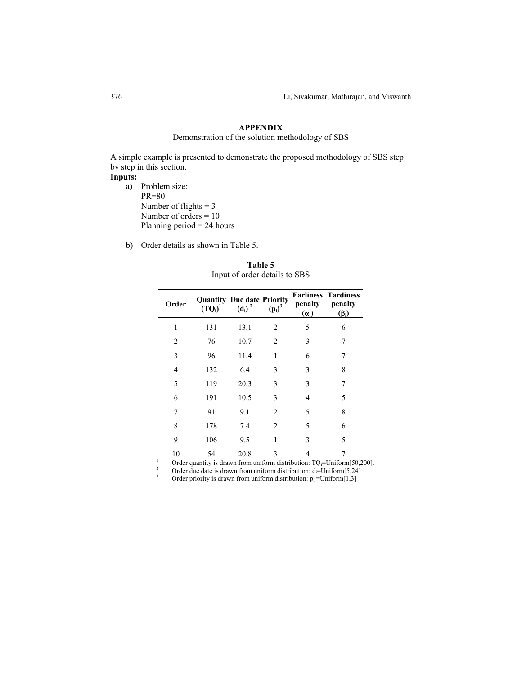# **APPENDIX**

Demonstration of the solution methodology of SBS

A simple example is presented to demonstrate the proposed methodology of SBS step by step in this section.

## **Inputs:**

- a) Problem size: PR=80 Number of flights  $= 3$ Number of orders = 10 Planning period = 24 hours
- b) Order details as shown in Table 5.

| Order          | $(TQ_i)^1$                     | <b>Quantity Due date Priority</b><br>$(d_i)^2$ | $(p_i)^3$                    | penalty<br>$(\alpha_i)$                   | <b>Earliness Tardiness</b><br>penalty<br>$(\beta_i)$ |
|----------------|--------------------------------|------------------------------------------------|------------------------------|-------------------------------------------|------------------------------------------------------|
| 1              | 131                            | 13.1                                           | 2                            | 5                                         | 6                                                    |
| 2              | 76                             | 10.7                                           | 2                            | 3                                         | 7                                                    |
| 3              | 96                             | 11.4                                           | 1                            | 6                                         | 7                                                    |
| 4              | 132                            | 6.4                                            | 3                            | 3                                         | 8                                                    |
| 5              | 119                            | 20.3                                           | 3                            | 3                                         | 7                                                    |
| 6              | 191                            | 10.5                                           | 3                            | $\overline{4}$                            | 5                                                    |
| 7              | 91                             | 9.1                                            | $\overline{2}$               | 5                                         | 8                                                    |
| 8              | 178                            | 7.4                                            | $\overline{2}$               | 5                                         | 6                                                    |
| 9              | 106                            | 9.5                                            | 1                            | 3                                         | 5                                                    |
| 10<br>$\sim$ 1 | 54<br>$\cdots$<br>$\mathbf{I}$ | 20.8<br>$\sim$                                 | 3<br>$\cdot$ $\sim$<br>11.71 | 4<br>$\cdot$ .<br>$\overline{m}$ $\wedge$ | $x \times y$<br>5.50 <sub>0</sub>                    |

**Table 5**  Input of order details to SBS

<sup>1</sup> Order quantity is drawn from uniform distribution: TQ<sub>i</sub>=Uniform[50,200].<br>
<sup>2</sup> Order due date is drawn from uniform distribution: d<sub>i</sub>=Uniform[5,24]<br>
Order priority is drawn from uniform distribution: p<sub>i</sub> =Uniform[1,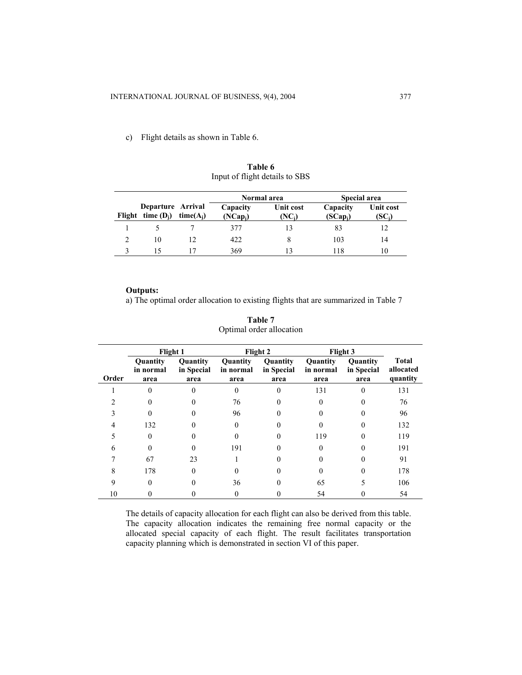c) Flight details as shown in Table 6.

|                                          |             |                        | Normal area        |                        | Special area      |
|------------------------------------------|-------------|------------------------|--------------------|------------------------|-------------------|
| Departure Arrival<br>Flight time $(D_i)$ | $time(A_i)$ | Capacity<br>$(NCap_i)$ | Unit cost<br>(NC;) | Capacity<br>$(SCap_i)$ | Unit cost<br>'SC: |
|                                          |             | 377                    |                    | 83                     |                   |
| 10                                       | 12          | 422                    |                    | 103                    | 14                |
|                                          |             | 369                    |                    | -18                    | 10                |

**Table 6** Input of flight details to SBS

## **Outputs:**

a) The optimal order allocation to existing flights that are summarized in Table 7

|       | Flight 1                      |                                |                               | Flight 2                       | Flight 3                      |                                |                                       |
|-------|-------------------------------|--------------------------------|-------------------------------|--------------------------------|-------------------------------|--------------------------------|---------------------------------------|
| Order | Quantity<br>in normal<br>area | Quantity<br>in Special<br>area | Quantity<br>in normal<br>area | Quantity<br>in Special<br>area | Quantity<br>in normal<br>area | Quantity<br>in Special<br>area | <b>Total</b><br>allocated<br>quantity |
|       |                               |                                |                               | 0                              | 131                           |                                | 131                                   |
|       |                               |                                | 76                            |                                |                               |                                | 76                                    |
|       |                               |                                | 96                            |                                |                               |                                | 96                                    |
| 4     | 132                           |                                | $\Omega$                      |                                | $_{0}$                        |                                | 132                                   |
|       | 0                             |                                |                               |                                | 119                           |                                | 119                                   |
| h     |                               |                                | 191                           |                                |                               |                                | 191                                   |
|       | 67                            | 23                             |                               |                                |                               |                                | 91                                    |
| 8     | 178                           | 0                              |                               |                                | 0                             |                                | 178                                   |
| q     | 0                             |                                | 36                            |                                | 65                            |                                | 106                                   |
| 10    |                               |                                |                               |                                | 54                            |                                | 54                                    |

**Table 7** Optimal order allocation

The details of capacity allocation for each flight can also be derived from this table. The capacity allocation indicates the remaining free normal capacity or the allocated special capacity of each flight. The result facilitates transportation capacity planning which is demonstrated in section VI of this paper.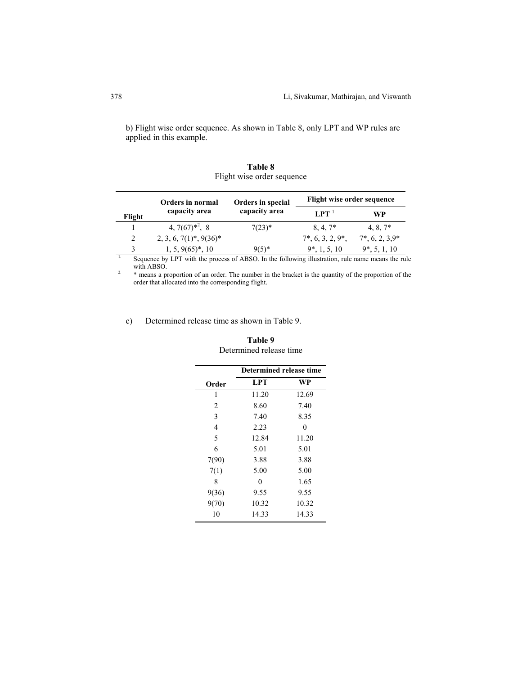b) Flight wise order sequence. As shown in Table 8, only LPT and WP rules are applied in this example.

|        | Orders in normal                                                                                  | Orders in special | Flight wise order sequence        |                    |
|--------|---------------------------------------------------------------------------------------------------|-------------------|-----------------------------------|--------------------|
| Flight | capacity area                                                                                     | capacity area     | LPT <sup>1</sup>                  | WP                 |
|        | 4, $7(67)^{*2}$ , 8                                                                               | $7(23)^*$         | $8, 4, 7*$                        | $4, 8, 7^*$        |
| 2      | $2, 3, 6, 7(1)^*, 9(36)^*$                                                                        |                   | $7^*$ , 6, 3, 2, 9 <sup>*</sup> , | $7^*$ , 6, 2, 3.9* |
| 3      | $1, 5, 9(65)^*, 10$                                                                               | $9(5)^*$          | $9^*$ , 1, 5, 10                  | $9*, 5, 1, 10$     |
|        | Sequence by LPT with the process of ABSO. In the following illustration, rule name means the rule |                   |                                   |                    |

**Table 8**  Flight wise order sequence

with ABSO.<br><sup>2.</sup>  $*$  means a proportion of an order. The number in the bracket is the quantity of the proportion of the

order that allocated into the corresponding flight.

## c) Determined release time as shown in Table 9.

|       | Determined release time |       |  |  |  |  |
|-------|-------------------------|-------|--|--|--|--|
| Order | LPT                     | WP    |  |  |  |  |
| 1     | 11.20                   | 12.69 |  |  |  |  |
| 2     | 8.60                    | 7.40  |  |  |  |  |
| 3     | 7.40                    | 8.35  |  |  |  |  |
| 4     | 2.23                    | 0     |  |  |  |  |
| 5     | 12.84                   | 11.20 |  |  |  |  |
| 6     | 5.01                    | 5.01  |  |  |  |  |
| 7(90) | 3.88                    | 3.88  |  |  |  |  |
| 7(1)  | 5.00                    | 5.00  |  |  |  |  |
| 8     | 0                       | 1.65  |  |  |  |  |
| 9(36) | 9.55                    | 9.55  |  |  |  |  |
| 9(70) | 10.32                   | 10.32 |  |  |  |  |
| 10    | 14.33                   | 14.33 |  |  |  |  |

## **Table 9**  Determined release time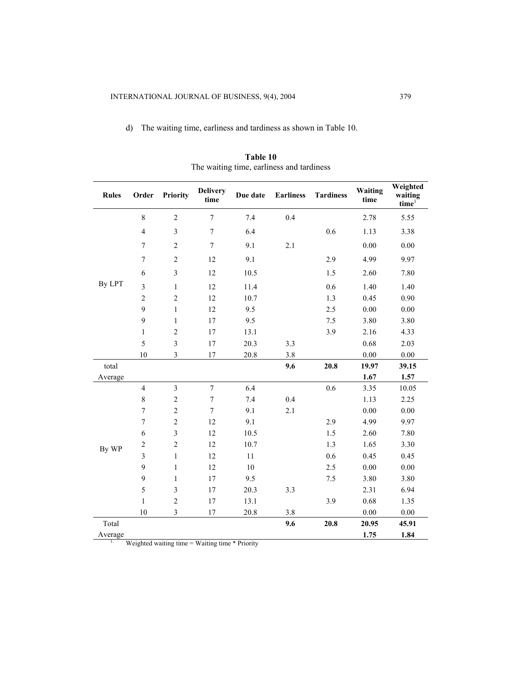d) The waiting time, earliness and tardiness as shown in Table 10.

| <b>Rules</b> | Order                   | <b>Priority</b>         | <b>Delivery</b><br>time | Due date | <b>Earliness</b> | <b>Tardiness</b> | Waiting<br>time | Weighted<br>waiting<br>time <sup>1</sup> |
|--------------|-------------------------|-------------------------|-------------------------|----------|------------------|------------------|-----------------|------------------------------------------|
|              | 8                       | $\overline{2}$          | $\overline{7}$          | 7.4      | 0.4              |                  | 2.78            | 5.55                                     |
|              | $\overline{4}$          | $\overline{\mathbf{3}}$ | $\sqrt{ }$              | 6.4      |                  | 0.6              | 1.13            | 3.38                                     |
|              | 7                       | $\sqrt{2}$              | $\boldsymbol{7}$        | 9.1      | 2.1              |                  | 0.00            | $0.00\,$                                 |
|              | $\overline{7}$          | $\overline{2}$          | 12                      | 9.1      |                  | 2.9              | 4.99            | 9.97                                     |
|              | 6                       | $\mathfrak{Z}$          | 12                      | 10.5     |                  | 1.5              | 2.60            | 7.80                                     |
| By LPT       | $\overline{3}$          | $\mathbf{1}$            | 12                      | 11.4     |                  | 0.6              | 1.40            | 1.40                                     |
|              | $\sqrt{2}$              | $\overline{c}$          | 12                      | 10.7     |                  | 1.3              | 0.45            | 0.90                                     |
|              | 9                       | $\mathbf{1}$            | 12                      | 9.5      |                  | 2.5              | 0.00            | 0.00                                     |
|              | 9                       | $\mathbf{1}$            | 17                      | 9.5      |                  | 7.5              | 3.80            | 3.80                                     |
|              | $\mathbf{1}$            | $\overline{c}$          | 17                      | 13.1     |                  | 3.9              | 2.16            | 4.33                                     |
|              | 5                       | $\overline{\mathbf{3}}$ | 17                      | 20.3     | 3.3              |                  | 0.68            | 2.03                                     |
|              | 10                      | $\mathfrak{Z}$          | 17                      | 20.8     | 3.8              |                  | 0.00            | 0.00                                     |
| total        |                         |                         |                         |          | 9.6              | 20.8             | 19.97           | 39.15                                    |
| Average      |                         |                         |                         |          |                  |                  | 1.67            | 1.57                                     |
|              | $\overline{4}$          | $\overline{\mathbf{3}}$ | $\overline{7}$          | 6.4      |                  | 0.6              | 3.35            | 10.05                                    |
|              | $\,$ $\,$               | $\overline{c}$          | $\sqrt{ }$              | 7.4      | 0.4              |                  | 1.13            | 2.25                                     |
|              | $\tau$                  | $\overline{c}$          | $\boldsymbol{7}$        | 9.1      | 2.1              |                  | 0.00            | 0.00                                     |
|              | 7                       | $\overline{c}$          | 12                      | 9.1      |                  | 2.9              | 4.99            | 9.97                                     |
|              | 6                       | $\mathfrak{Z}$          | 12                      | 10.5     |                  | 1.5              | 2.60            | 7.80                                     |
| By WP        | $\overline{\mathbf{c}}$ | $\overline{c}$          | 12                      | 10.7     |                  | 1.3              | 1.65            | 3.30                                     |
|              | $\overline{3}$          | $\,1$                   | 12                      | $11\,$   |                  | 0.6              | 0.45            | 0.45                                     |
|              | 9                       | $\,1$                   | 12                      | 10       |                  | 2.5              | 0.00            | 0.00                                     |
|              | 9                       | $\,1$                   | 17                      | 9.5      |                  | 7.5              | 3.80            | 3.80                                     |
|              | 5                       | $\mathfrak{Z}$          | 17                      | 20.3     | 3.3              |                  | 2.31            | 6.94                                     |
|              | $\mathbf{1}$            | $\overline{c}$          | 17                      | 13.1     |                  | 3.9              | 0.68            | 1.35                                     |
|              | 10                      | $\mathfrak{Z}$          | 17                      | 20.8     | 3.8              |                  | 0.00            | 0.00                                     |
| Total        |                         |                         |                         |          | 9.6              | 20.8             | 20.95           | 45.91                                    |
| Average      |                         |                         |                         |          |                  |                  | 1.75            | 1.84                                     |

**Table 10**  The waiting time, earliness and tardiness

1. Weighted waiting time = Waiting time \* Priority